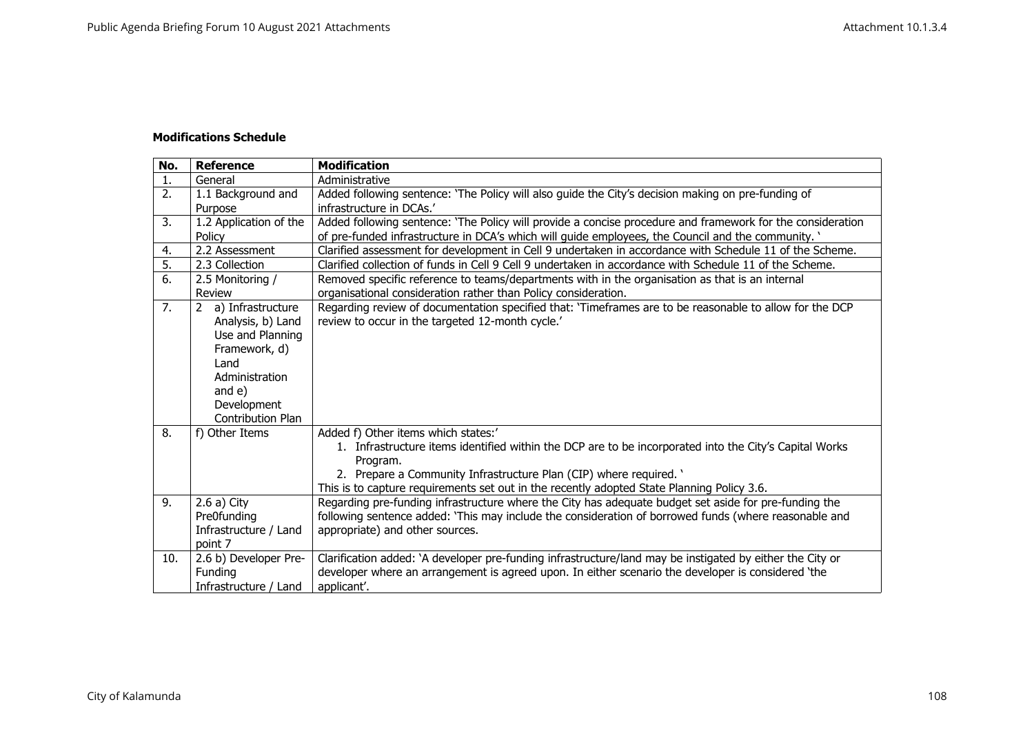## **Modifications Schedule**

| No. | <b>Reference</b>       | <b>Modification</b>                                                                                        |
|-----|------------------------|------------------------------------------------------------------------------------------------------------|
| 1.  | General                | Administrative                                                                                             |
| 2.  | 1.1 Background and     | Added following sentence: 'The Policy will also guide the City's decision making on pre-funding of         |
|     | Purpose                | infrastructure in DCAs.'                                                                                   |
| 3.  | 1.2 Application of the | Added following sentence: 'The Policy will provide a concise procedure and framework for the consideration |
|     | Policy                 | of pre-funded infrastructure in DCA's which will guide employees, the Council and the community. '         |
| 4.  | 2.2 Assessment         | Clarified assessment for development in Cell 9 undertaken in accordance with Schedule 11 of the Scheme.    |
| 5.  | 2.3 Collection         | Clarified collection of funds in Cell 9 Cell 9 undertaken in accordance with Schedule 11 of the Scheme.    |
| 6.  | 2.5 Monitoring /       | Removed specific reference to teams/departments with in the organisation as that is an internal            |
|     | Review                 | organisational consideration rather than Policy consideration.                                             |
| 7.  | 2 a) Infrastructure    | Regarding review of documentation specified that: 'Timeframes are to be reasonable to allow for the DCP    |
|     | Analysis, b) Land      | review to occur in the targeted 12-month cycle.'                                                           |
|     | Use and Planning       |                                                                                                            |
|     | Framework, d)          |                                                                                                            |
|     | Land                   |                                                                                                            |
|     | Administration         |                                                                                                            |
|     | and e)                 |                                                                                                            |
|     | Development            |                                                                                                            |
|     | Contribution Plan      |                                                                                                            |
| 8.  | f) Other Items         | Added f) Other items which states:'                                                                        |
|     |                        | 1. Infrastructure items identified within the DCP are to be incorporated into the City's Capital Works     |
|     |                        | Program.                                                                                                   |
|     |                        | 2. Prepare a Community Infrastructure Plan (CIP) where required. '                                         |
|     |                        | This is to capture requirements set out in the recently adopted State Planning Policy 3.6.                 |
| 9.  | $2.6a)$ City           | Regarding pre-funding infrastructure where the City has adequate budget set aside for pre-funding the      |
|     | Pre0funding            | following sentence added: 'This may include the consideration of borrowed funds (where reasonable and      |
|     | Infrastructure / Land  | appropriate) and other sources.                                                                            |
|     | point 7                |                                                                                                            |
| 10. | 2.6 b) Developer Pre-  | Clarification added: `A developer pre-funding infrastructure/land may be instigated by either the City or  |
|     | Funding                | developer where an arrangement is agreed upon. In either scenario the developer is considered 'the         |
|     | Infrastructure / Land  | applicant'.                                                                                                |